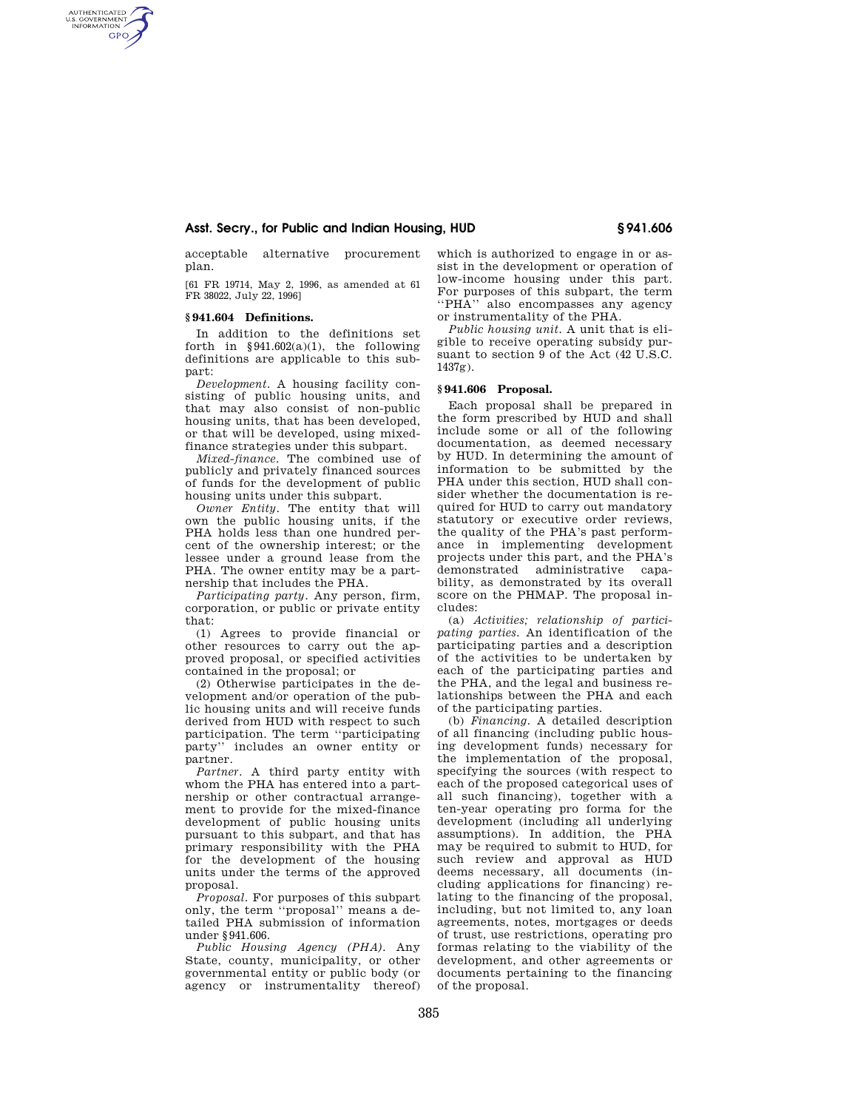## **Asst. Secry., for Public and Indian Housing, HUD § 941.606**

acceptable alternative procurement plan.

[61 FR 19714, May 2, 1996, as amended at 61 FR 38022, July 22, 1996]

### **§ 941.604 Definitions.**

AUTHENTICATED<br>U.S. GOVERNMENT<br>INFORMATION **GPO** 

> In addition to the definitions set forth in  $§941.602(a)(1)$ , the following definitions are applicable to this subpart:

> *Development.* A housing facility consisting of public housing units, and that may also consist of non-public housing units, that has been developed, or that will be developed, using mixedfinance strategies under this subpart.

> *Mixed-finance.* The combined use of publicly and privately financed sources of funds for the development of public housing units under this subpart.

> *Owner Entity.* The entity that will own the public housing units, if the PHA holds less than one hundred percent of the ownership interest; or the lessee under a ground lease from the PHA. The owner entity may be a partnership that includes the PHA.

> *Participating party.* Any person, firm, corporation, or public or private entity that:

> (1) Agrees to provide financial or other resources to carry out the approved proposal, or specified activities contained in the proposal; or

> (2) Otherwise participates in the development and/or operation of the public housing units and will receive funds derived from HUD with respect to such participation. The term ''participating party'' includes an owner entity or partner.

> *Partner.* A third party entity with whom the PHA has entered into a partnership or other contractual arrangement to provide for the mixed-finance development of public housing units pursuant to this subpart, and that has primary responsibility with the PHA for the development of the housing units under the terms of the approved proposal.

> *Proposal.* For purposes of this subpart only, the term ''proposal'' means a detailed PHA submission of information under §941.606.

> *Public Housing Agency (PHA).* Any State, county, municipality, or other governmental entity or public body (or agency or instrumentality thereof)

which is authorized to engage in or assist in the development or operation of low-income housing under this part. For purposes of this subpart, the term ''PHA'' also encompasses any agency or instrumentality of the PHA.

*Public housing unit.* A unit that is eligible to receive operating subsidy pursuant to section 9 of the Act (42 U.S.C. 1437g).

## **§ 941.606 Proposal.**

Each proposal shall be prepared in the form prescribed by HUD and shall include some or all of the following documentation, as deemed necessary by HUD. In determining the amount of information to be submitted by the PHA under this section, HUD shall consider whether the documentation is required for HUD to carry out mandatory statutory or executive order reviews, the quality of the PHA's past performance in implementing development projects under this part, and the PHA's demonstrated administrative capability, as demonstrated by its overall score on the PHMAP. The proposal includes:

(a) *Activities; relationship of participating parties.* An identification of the participating parties and a description of the activities to be undertaken by each of the participating parties and the PHA, and the legal and business relationships between the PHA and each of the participating parties.

(b) *Financing.* A detailed description of all financing (including public housing development funds) necessary for the implementation of the proposal, specifying the sources (with respect to each of the proposed categorical uses of all such financing), together with a ten-year operating pro forma for the development (including all underlying assumptions). In addition, the PHA may be required to submit to HUD, for such review and approval as HUD deems necessary, all documents (including applications for financing) relating to the financing of the proposal, including, but not limited to, any loan agreements, notes, mortgages or deeds of trust, use restrictions, operating pro formas relating to the viability of the development, and other agreements or documents pertaining to the financing of the proposal.

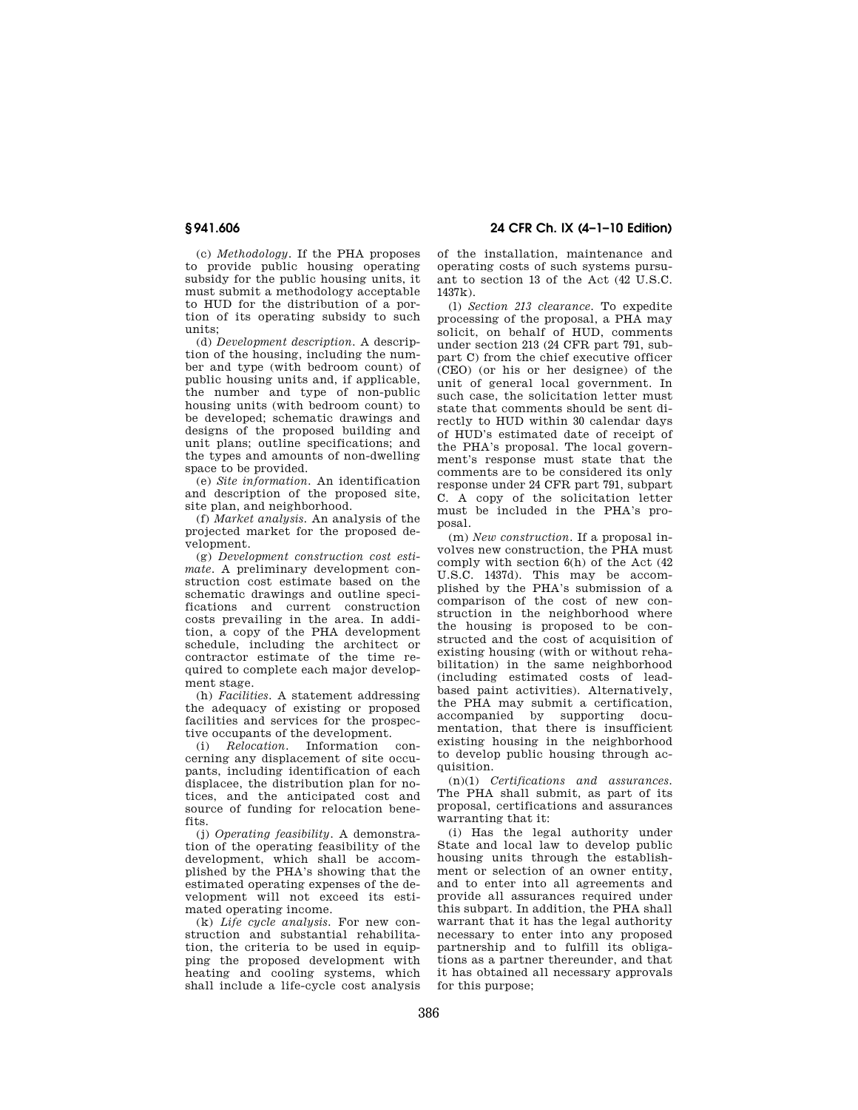(c) *Methodology.* If the PHA proposes to provide public housing operating subsidy for the public housing units, it must submit a methodology acceptable to HUD for the distribution of a portion of its operating subsidy to such units;

(d) *Development description.* A description of the housing, including the number and type (with bedroom count) of public housing units and, if applicable, the number and type of non-public housing units (with bedroom count) to be developed; schematic drawings and designs of the proposed building and unit plans; outline specifications; and the types and amounts of non-dwelling space to be provided.

(e) *Site information.* An identification and description of the proposed site, site plan, and neighborhood.

(f) *Market analysis.* An analysis of the projected market for the proposed development.

(g) *Development construction cost estimate.* A preliminary development construction cost estimate based on the schematic drawings and outline specifications and current construction costs prevailing in the area. In addition, a copy of the PHA development schedule, including the architect or contractor estimate of the time required to complete each major development stage.

(h) *Facilities.* A statement addressing the adequacy of existing or proposed facilities and services for the prospective occupants of the development.

(i) *Relocation.* Information concerning any displacement of site occupants, including identification of each displacee, the distribution plan for notices, and the anticipated cost and source of funding for relocation benefits.

(j) *Operating feasibility.* A demonstration of the operating feasibility of the development, which shall be accomplished by the PHA's showing that the estimated operating expenses of the development will not exceed its estimated operating income.

(k) *Life cycle analysis.* For new construction and substantial rehabilitation, the criteria to be used in equipping the proposed development with heating and cooling systems, which shall include a life-cycle cost analysis

**§ 941.606 24 CFR Ch. IX (4–1–10 Edition)** 

of the installation, maintenance and operating costs of such systems pursuant to section 13 of the Act (42 U.S.C. 1437k).

(l) *Section 213 clearance.* To expedite processing of the proposal, a PHA may solicit, on behalf of HUD, comments under section 213 (24 CFR part 791, subpart C) from the chief executive officer (CEO) (or his or her designee) of the unit of general local government. In such case, the solicitation letter must state that comments should be sent directly to HUD within 30 calendar days of HUD's estimated date of receipt of the PHA's proposal. The local government's response must state that the comments are to be considered its only response under 24 CFR part 791, subpart C. A copy of the solicitation letter must be included in the PHA's proposal.

(m) *New construction.* If a proposal involves new construction, the PHA must comply with section 6(h) of the Act (42 U.S.C. 1437d). This may be accomplished by the PHA's submission of a comparison of the cost of new construction in the neighborhood where the housing is proposed to be constructed and the cost of acquisition of existing housing (with or without rehabilitation) in the same neighborhood (including estimated costs of leadbased paint activities). Alternatively, the PHA may submit a certification, accompanied by supporting documentation, that there is insufficient existing housing in the neighborhood to develop public housing through acquisition.

(n)(1) *Certifications and assurances.*  The PHA shall submit, as part of its proposal, certifications and assurances warranting that it:

(i) Has the legal authority under State and local law to develop public housing units through the establishment or selection of an owner entity, and to enter into all agreements and provide all assurances required under this subpart. In addition, the PHA shall warrant that it has the legal authority necessary to enter into any proposed partnership and to fulfill its obligations as a partner thereunder, and that it has obtained all necessary approvals for this purpose;